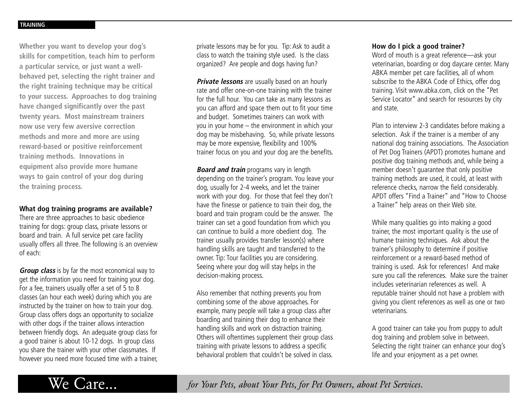**Whether you want to develop your dog's skills for competition, teach him to perform a particular service, or just want a wellbehaved pet, selecting the right trainer and the right training technique may be critical to your success. Approaches to dog training have changed significantly over the past twenty years. Most mainstream trainers now use very few aversive correction methods and more and more are using reward-based or positive reinforcement training methods. Innovations in equipment also provide more humane ways to gain control of your dog during the training process.**

## **What dog training programs are available?**

There are three approaches to basic obedience training for dogs: group class, private lessons or board and train. A full service pet care facility usually offers all three. The following is an overview of each:

**Group class** is by far the most economical way to get the information you need for training your dog. For a fee, trainers usually offer a set of 5 to 8 classes (an hour each week) during which you are instructed by the trainer on how to train your dog. Group class offers dogs an opportunity to socialize with other dogs if the trainer allows interaction between friendly dogs. An adequate group class for a good trainer is about 10-12 dogs. In group class you share the trainer with your other classmates. If however you need more focused time with a trainer, private lessons may be for you. Tip: Ask to audit a class to watch the training style used. Is the class organized? Are people and dogs having fun?

**Private lessons** are usually based on an hourly rate and offer one-on-one training with the trainer for the full hour. You can take as many lessons as you can afford and space them out to fit your time and budget. Sometimes trainers can work with you in your home – the environment in which your dog may be misbehaving. So, while private lessons may be more expensive, flexibility and 100% trainer focus on you and your dog are the benefits.

**Board and train** programs vary in length depending on the trainer's program. You leave your dog, usually for 2-4 weeks, and let the trainer work with your dog. For those that feel they don't have the finesse or patience to train their dog, the board and train program could be the answer. The trainer can set a good foundation from which you can continue to build a more obedient dog. The trainer usually provides transfer lesson(s) where handling skills are taught and transferred to the owner. Tip: Tour facilities you are considering. Seeing where your dog will stay helps in the decision-making process.

Also remember that nothing prevents you from combining some of the above approaches. For example, many people will take a group class after boarding and training their dog to enhance their handling skills and work on distraction training. Others will oftentimes supplement their group class training with private lessons to address a specific behavioral problem that couldn't be solved in class.

## **How do I pick a good trainer?**

Word of mouth is a great reference—ask your veterinarian, boarding or dog daycare center. Many ABKA member pet care facilities, all of whom subscribe to the ABKA Code of Ethics, offer dog training. Visit www.abka.com, click on the "Pet Service Locator" and search for resources by city and state.

Plan to interview 2-3 candidates before making a selection. Ask if the trainer is a member of any national dog training associations. The Association of Pet Dog Trainers (APDT) promotes humane and positive dog training methods and, while being a member doesn't guarantee that only positive training methods are used, it could, at least with reference checks, narrow the field considerably. APDT offers "Find a Trainer" and "How to Choose a Trainer" help areas on their Web site.

While many qualities go into making a good trainer, the most important quality is the use of humane training techniques. Ask about the trainer's philosophy to determine if positive reinforcement or a reward-based method of training is used. Ask for references! And make sure you call the references. Make sure the trainer includes veterinarian references as well. A reputable trainer should not have a problem with giving you client references as well as one or two veterinarians.

A good trainer can take you from puppy to adult dog training and problem solve in between. Selecting the right trainer can enhance your dog's life and your enjoyment as a pet owner.

We Care... *for Your Pets, about Your Pets, for Pet Owners, about Pet Services.*